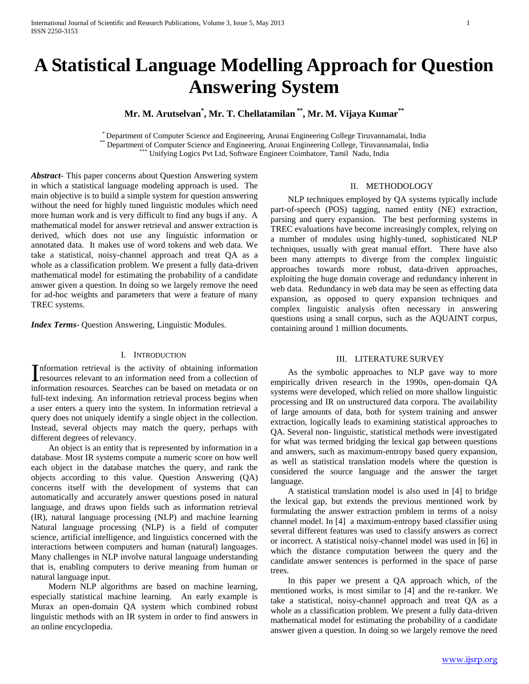# **A Statistical Language Modelling Approach for Question Answering System**

**Mr. M. Arutselvan\* , Mr. T. Chellatamilan \*\* , Mr. M. Vijaya Kumar\*\***

\* Department of Computer Science and Engineering, Arunai Engineering College Tiruvannamalai, India \*\* Department of Computer Science and Engineering, Arunai Engineering College, Tiruvannamalai, India Unifying Logics Pvt Ltd, Software Engineer Coimbatore, Tamil Nadu, India

*Abstract***-** This paper concerns about Question Answering system in which a statistical language modeling approach is used. The main objective is to build a simple system for question answering without the need for highly tuned linguistic modules which need more human work and is very difficult to find any bugs if any. A mathematical model for answer retrieval and answer extraction is derived, which does not use any linguistic information or annotated data. It makes use of word tokens and web data. We take a statistical, noisy-channel approach and treat QA as a whole as a classification problem. We present a fully data-driven mathematical model for estimating the probability of a candidate answer given a question. In doing so we largely remove the need for ad-hoc weights and parameters that were a feature of many TREC systems.

*Index Terms*- Question Answering, Linguistic Modules.

# I. INTRODUCTION

nformation retrieval is the activity of obtaining information Information retrieval is the activity of obtaining information<br>resources relevant to an information need from a collection of information resources. Searches can be based on metadata or on full-text indexing. An information retrieval process begins when a user enters a query into the system. In information retrieval a query does not uniquely identify a single object in the collection. Instead, several objects may match the query, perhaps with different degrees of relevancy.

 An object is an entity that is represented by information in a database. Most IR systems compute a numeric score on how well each object in the database matches the query, and rank the objects according to this value. Question Answering (QA) concerns itself with the development of systems that can automatically and accurately answer questions posed in natural language, and draws upon fields such as information retrieval (IR), natural language processing (NLP) and machine learning Natural language processing (NLP) is a field of computer science, artificial intelligence, and linguistics concerned with the interactions between computers and human (natural) languages. Many challenges in NLP involve natural language understanding that is, enabling computers to derive meaning from human or natural language input.

 Modern NLP algorithms are based on machine learning, especially statistical machine learning. An early example is Murax an open-domain QA system which combined robust linguistic methods with an IR system in order to find answers in an online encyclopedia.

II. METHODOLOGY

 NLP techniques employed by QA systems typically include part-of-speech (POS) tagging, named entity (NE) extraction, parsing and query expansion. The best performing systems in TREC evaluations have become increasingly complex, relying on a number of modules using highly-tuned, sophisticated NLP techniques, usually with great manual effort. There have also been many attempts to diverge from the complex linguistic approaches towards more robust, data-driven approaches, exploiting the huge domain coverage and redundancy inherent in web data. Redundancy in web data may be seen as effecting data expansion, as opposed to query expansion techniques and complex linguistic analysis often necessary in answering questions using a small corpus, such as the AQUAINT corpus, containing around 1 million documents.

### III. LITERATURE SURVEY

 As the symbolic approaches to NLP gave way to more empirically driven research in the 1990s, open-domain QA systems were developed, which relied on more shallow linguistic processing and IR on unstructured data corpora. The availability of large amounts of data, both for system training and answer extraction, logically leads to examining statistical approaches to QA. Several non- linguistic, statistical methods were investigated for what was termed bridging the lexical gap between questions and answers, such as maximum-entropy based query expansion, as well as statistical translation models where the question is considered the source language and the answer the target language.

 A statistical translation model is also used in [4] to bridge the lexical gap, but extends the previous mentioned work by formulating the answer extraction problem in terms of a noisy channel model. In [4] a maximum-entropy based classifier using several different features was used to classify answers as correct or incorrect. A statistical noisy-channel model was used in [6] in which the distance computation between the query and the candidate answer sentences is performed in the space of parse trees.

 In this paper we present a QA approach which, of the mentioned works, is most similar to [4] and the re-ranker. We take a statistical, noisy-channel approach and treat QA as a whole as a classification problem. We present a fully data-driven mathematical model for estimating the probability of a candidate answer given a question. In doing so we largely remove the need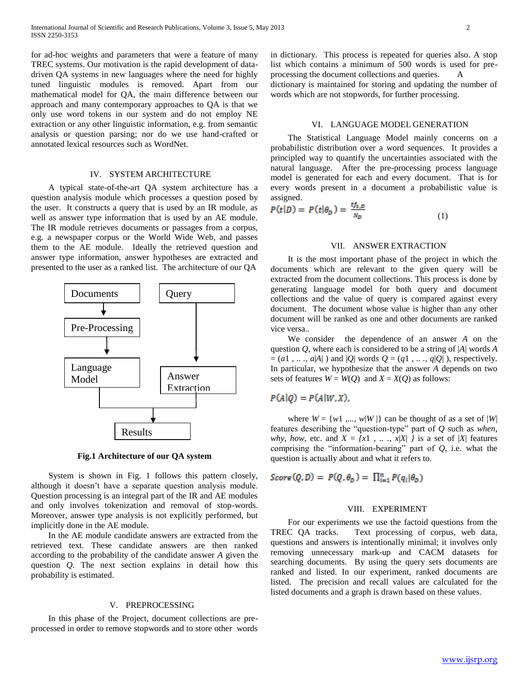for ad-hoc weights and parameters that were a feature of many TREC systems. Our motivation is the rapid development of datadriven QA systems in new languages where the need for highly tuned linguistic modules is removed. Apart from our mathematical model for QA, the main difference between our approach and many contemporary approaches to QA is that we only use word tokens in our system and do not employ NE extraction or any other linguistic information, e.g. from semantic analysis or question parsing; nor do we use hand-crafted or annotated lexical resources such as WordNet.

## IV. SYSTEM ARCHITECTURE

 A typical state-of-the-art QA system architecture has a question analysis module which processes a question posed by the user. It constructs a query that is used by an IR module, as well as answer type information that is used by an AE module. The IR module retrieves documents or passages from a corpus, e.g. a newspaper corpus or the World Wide Web, and passes them to the AE module. Ideally the retrieved question and answer type information, answer hypotheses are extracted and presented to the user as a ranked list. The architecture of our QA



**Fig.1 Architecture of our QA system**

 System is shown in Fig. 1 follows this pattern closely, although it doesn't have a separate question analysis module. Question processing is an integral part of the IR and AE modules and only involves tokenization and removal of stop-words. Moreover, answer type analysis is not explicitly performed, but implicitly done in the AE module.

 In the AE module candidate answers are extracted from the retrieved text. These candidate answers are then ranked according to the probability of the candidate answer *A* given the question *Q*. The next section explains in detail how this probability is estimated.

#### V. PREPROCESSING

 In this phase of the Project, document collections are preprocessed in order to remove stopwords and to store other words in dictionary. This process is repeated for queries also. A stop list which contains a minimum of 500 words is used for preprocessing the document collections and queries. A dictionary is maintained for storing and updating the number of

words which are not stopwords, for further processing.

#### VI. LANGUAGE MODEL GENERATION

 The Statistical Language Model mainly concerns on a probabilistic distribution over a word sequences. It provides a principled way to quantify the uncertainties associated with the natural language. After the pre-processing process language model is generated for each and every document. That is for every words present in a document a probabilistic value is assigned.

$$
P(t|D) = P(t|\theta_D) = \frac{tf_{t,D}}{N_D} \tag{1}
$$

#### VII. ANSWER EXTRACTION

 It is the most important phase of the project in which the documents which are relevant to the given query will be extracted from the document collections. This process is done by generating language model for both query and document collections and the value of query is compared against every document. The document whose value is higher than any other document will be ranked as one and other documents are ranked vice versa..

 We consider the dependence of an answer *A* on the question *Q*, where each is considered to be a string of |*A*| words *A*   $= (a_1, \ldots, a | A |)$  and  $|Q|$  words  $Q = (q_1, \ldots, q | Q |)$ , respectively. In particular, we hypothesize that the answer *A* depends on two sets of features  $W = W(Q)$  and  $X = X(Q)$  as follows:

# $P(A|Q) = P(A|W,X),$

where  $W = \{w1, ..., w|W|\}$  can be thought of as a set of |*W*| features describing the "question-type" part of *Q* such as *when*, *why, how, etc.* and  $X = \{x1, \ldots, x|X| \}$  is a set of |*X*| features comprising the "information-bearing" part of *Q*, i.e. what the question is actually about and what it refers to.

 $Score(Q, D) = P(Q, \theta_n) = \prod_{i=1}^n P(q_i | \theta_n)$ 

## VIII. EXPERIMENT

 For our experiments we use the factoid questions from the TREC QA tracks. Text processing of corpus, web data, questions and answers is intentionally minimal; it involves only removing unnecessary mark-up and CACM datasets for searching documents. By using the query sets documents are ranked and listed. In our experiment, ranked documents are listed. The precision and recall values are calculated for the listed documents and a graph is drawn based on these values.